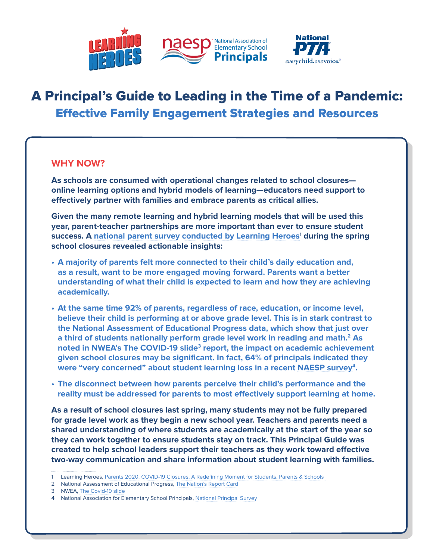

# A Principal's Guide to Leading in the Time of a Pandemic: Effective Family Engagement Strategies and Resources

### **WHY NOW?**

**As schools are consumed with operational changes related to school closures online learning options and hybrid models of learning—educators need support to effectively partner with families and embrace parents as critical allies.** 

**Given the many remote learning and hybrid learning models that will be used this year, parent-teacher partnerships are more important than ever to ensure student**  success. A [national parent survey conducted by Learning Heroes](https://bealearninghero.org/research/)<sup>1</sup> during the spring **school closures revealed actionable insights:** 

- **• A majority of parents felt more connected to their child's daily education and, as a result, want to be more engaged moving forward. Parents want a better understanding of what their child is expected to learn and how they are achieving academically.**
- **• At the same time 92% of parents, regardless of race, education, or income level, believe their child is performing at or above grade level. This is in stark contrast to the National Assessment of Educational Progress data, which show that just over a third of students nationally perform grade level work in reading and math.2 As noted in NWEA's [The COVID-19 slide](https://www.nwea.org/content/uploads/2020/05/Collaborative-Brief_Covid19-Slide-APR20.pdf)3 report, the impact on academic achievement given school closures may be significant. In fact, 64% of principals indicated they were "very concerned" about student learning loss in a recent [NAESP survey4](https://www.naesp.org/content/naesp-releases-results-national-survey-principals-reopening-schools#:~:text=on%20Reopening%20Schools-,NAESP%20Releases%20Results%20on%20National%20Survey%20of%20Principals%20on%20Reopening,principals%20surveyed%20support%20full%20reopening.&text=86%20percent%20indicated%20it%20is,schools%20to%20support%20safe%20reopenings).**
- **• The disconnect between how parents perceive their child's performance and the reality must be addressed for parents to most effectively support learning at home.**

**As a result of school closures last spring, many students may not be fully prepared for grade level work as they begin a new school year. Teachers and parents need a shared understanding of where students are academically at the start of the year so they can work together to ensure students stay on track. This Principal Guide was created to help school leaders support their teachers as they work toward effective two-way communication and share information about student learning with families.** 

<sup>1</sup> Learning Heroes, [Parents 2020: COVID-19 Closures, A Redefining Moment for Students, Parents & Schools](https://r50gh2ss1ic2mww8s3uvjvq1-wpengine.netdna-ssl.com/wp-content/uploads/2020/05/LH_2020-Parent-Survey-Partner-1.pdf) 

<sup>2</sup> National Assessment of Educational Progress, [The Nation's Report Card](https://nces.ed.gov/nationsreportcard/)

<sup>3</sup> NWEA, [The Covid-19 slide](https://www.nwea.org/content/uploads/2020/05/Collaborative-Brief_Covid19-Slide-APR20.pdf)

<sup>4</sup> National Association for Elementary School Principals, [National Principal Survey](https://www.naesp.org/content/naesp-releases-results-national-survey-principals-reopening-schools#:~:text=on%20Reopening%20Schools-,NAESP%20Releases%20Results%20on%20National%20Survey%20of%20Principals%20on%20Reopening,principals%20surveyed%20support%20full%20reopening.&text=86%20percent%20indicated%20it%20is,schools%20to%20support%20safe%20reopenings)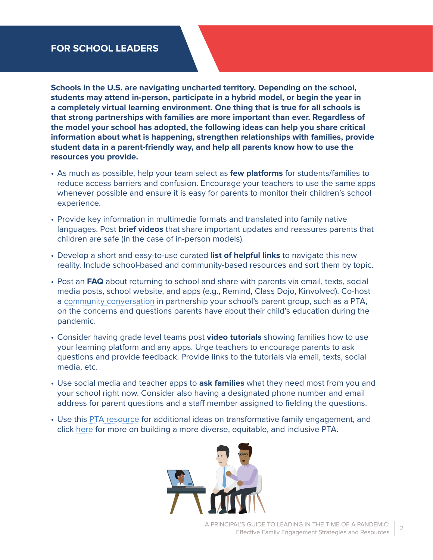## **FOR SCHOOL LEADERS**

**Schools in the U.S. are navigating uncharted territory. Depending on the school, students may attend in-person, participate in a hybrid model, or begin the year in a completely virtual learning environment. One thing that is true for all schools is that strong partnerships with families are more important than ever. Regardless of the model your school has adopted, the following ideas can help you share critical information about what is happening, strengthen relationships with families, provide student data in a parent-friendly way, and help all parents know how to use the resources you provide.**

- As much as possible, help your team select as **few platforms** for students/families to reduce access barriers and confusion. Encourage your teachers to use the same apps whenever possible and ensure it is easy for parents to monitor their children's school experience.
- Provide key information in multimedia formats and translated into family native languages. Post **brief videos** that share important updates and reassures parents that children are safe (in the case of in-person models).
- Develop a short and easy-to-use curated **list of helpful links** to navigate this new reality. Include school-based and community-based resources and sort them by topic.
- Post an **FAQ** about returning to school and share with parents via email, texts, social media posts, school website, and apps (e.g., Remind, Class Dojo, Kinvolved). Co-host a [community conversation](https://www.pta.org/home/advocacy/federal-legislation/Every-Student-Succeeds-Act-ESSA/education-data#Step%204:%20From%20Information%20to%20Improvements) in partnership your school's parent group, such as a PTA, on the concerns and questions parents have about their child's education during the pandemic.
- Consider having grade level teams post **video tutorials** showing families how to use your learning platform and any apps. Urge teachers to encourage parents to ask questions and provide feedback. Provide links to the tutorials via email, texts, social media, etc.
- Use social media and teacher apps to **ask families** what they need most from you and your school right now. Consider also having a designated phone number and email address for parent questions and a staff member assigned to fielding the questions.
- Use this [PTA resource](https://www.pta.org/docs/default-source/default-document-library/ptas-leading-the-way.pdf) for additional ideas on transformative family engagement, and click [here](https://www.pta.org/home/run-your-pta/Diversity-Equity-Inclusion) for more on building a more diverse, equitable, and inclusive PTA.

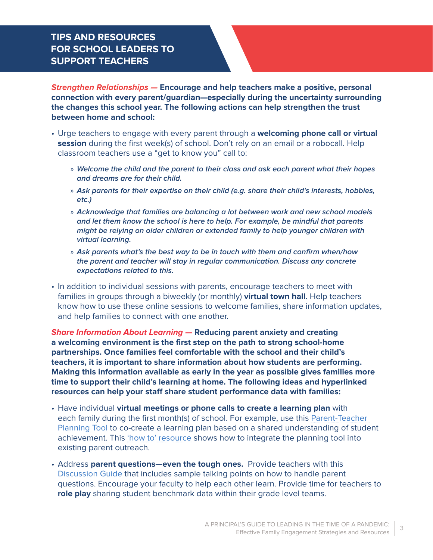## **TIPS AND RESOURCES FOR SCHOOL LEADERS TO SUPPORT TEACHERS**

**Strengthen Relationships — Encourage and help teachers make a positive, personal connection with every parent/guardian—especially during the uncertainty surrounding the changes this school year. The following actions can help strengthen the trust between home and school:**

- Urge teachers to engage with every parent through a **welcoming phone call or virtual session** during the first week(s) of school. Don't rely on an email or a robocall. Help classroom teachers use a "get to know you" call to:
	- » **Welcome the child and the parent to their class and ask each parent what their hopes and dreams are for their child.**
	- » **Ask parents for their expertise on their child (e.g. share their child's interests, hobbies, etc.)**
	- » **Acknowledge that families are balancing a lot between work and new school models and let them know the school is here to help. For example, be mindful that parents might be relying on older children or extended family to help younger children with virtual learning.**
	- » **Ask parents what's the best way to be in touch with them and confirm when/how the parent and teacher will stay in regular communication. Discuss any concrete expectations related to this.**
- In addition to individual sessions with parents, encourage teachers to meet with families in groups through a biweekly (or monthly) **virtual town hall**. Help teachers know how to use these online sessions to welcome families, share information updates, and help families to connect with one another.

**Share Information About Learning — Reducing parent anxiety and creating a welcoming environment is the first step on the path to strong school-home partnerships. Once families feel comfortable with the school and their child's teachers, it is important to share information about how students are performing. Making this information available as early in the year as possible gives families more time to support their child's learning at home. The following ideas and hyperlinked resources can help your staff share student performance data with families:**

- Have individual **virtual meetings or phone calls to create a learning plan** with each family during the first month(s) of school. For example, use this [Parent-Teacher](https://bealearninghero.org/family-engagement-resources/#tools)  [Planning Tool](https://bealearninghero.org/family-engagement-resources/#tools) to co-create a learning plan based on a shared understanding of student achievement. This ['how to' resource](https://r50gh2ss1ic2mww8s3uvjvq1-wpengine.netdna-ssl.com/wp-content/uploads/2020/08/Teacher-Guide-V4.pdf) shows how to integrate the planning tool into existing parent outreach.
- Address **parent questions—even the tough ones.** Provide teachers with this [Discussion Guide](https://r50gh2ss1ic2mww8s3uvjvq1-wpengine.netdna-ssl.com/wp-content/uploads/2020/08/Teacher-Discussion-Guide-V4.pdf) that includes sample talking points on how to handle parent questions. Encourage your faculty to help each other learn. Provide time for teachers to **role play** sharing student benchmark data within their grade level teams.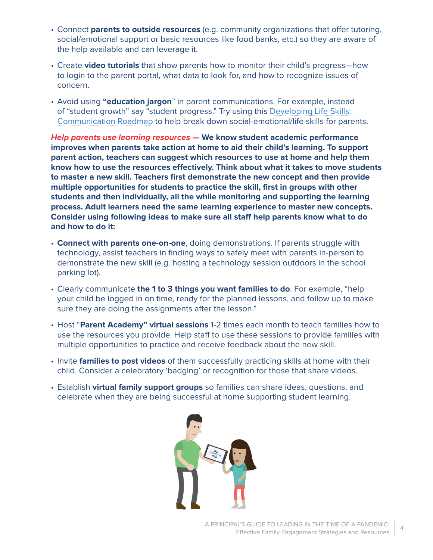- Connect **parents to outside resources** (e.g. community organizations that offer tutoring, social/emotional support or basic resources like food banks, etc.) so they are aware of the help available and can leverage it.
- Create **video tutorials** that show parents how to monitor their child's progress—how to login to the parent portal, what data to look for, and how to recognize issues of concern.
- Avoid using **"education jargon**" in parent communications. For example, instead of "student growth" say "student progress." Try using this [Developing Life Skills:](https://r50gh2ss1ic2mww8s3uvjvq1-wpengine.netdna-ssl.com/wp-content/uploads/2018/05/DLS-Report-2018-for-distribution-single-pages.pdf)  [Communication Roadmap](https://r50gh2ss1ic2mww8s3uvjvq1-wpengine.netdna-ssl.com/wp-content/uploads/2018/05/DLS-Report-2018-for-distribution-single-pages.pdf) to help break down social-emotional/life skills for parents.

**Help parents use learning resources — We know student academic performance improves when parents take action at home to aid their child's learning. To support parent action, teachers can suggest which resources to use at home and help them know how to use the resources effectively. Think about what it takes to move students to master a new skill. Teachers first demonstrate the new concept and then provide multiple opportunities for students to practice the skill, first in groups with other students and then individually, all the while monitoring and supporting the learning process. Adult learners need the same learning experience to master new concepts. Consider using following ideas to make sure all staff help parents know what to do and how to do it:**

- **Connect with parents one-on-one**, doing demonstrations. If parents struggle with technology, assist teachers in finding ways to safely meet with parents in-person to demonstrate the new skill (e.g. hosting a technology session outdoors in the school parking lot).
- Clearly communicate **the 1 to 3 things you want families to do**. For example, "help your child be logged in on time, ready for the planned lessons, and follow up to make sure they are doing the assignments after the lesson."
- Host "**Parent Academy" virtual sessions** 1-2 times each month to teach families how to use the resources you provide. Help staff to use these sessions to provide families with multiple opportunities to practice and receive feedback about the new skill.
- Invite **families to post videos** of them successfully practicing skills at home with their child. Consider a celebratory 'badging' or recognition for those that share videos.
- Establish **virtual family support groups** so families can share ideas, questions, and celebrate when they are being successful at home supporting student learning.

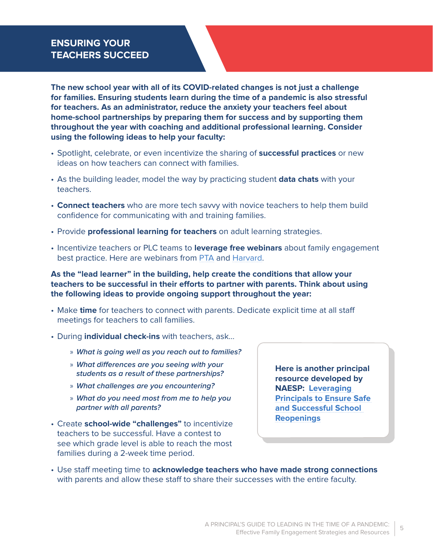# **ENSURING YOUR TEACHERS SUCCEED**

**The new school year with all of its COVID-related changes is not just a challenge for families. Ensuring students learn during the time of a pandemic is also stressful for teachers. As an administrator, reduce the anxiety your teachers feel about home-school partnerships by preparing them for success and by supporting them throughout the year with coaching and additional professional learning. Consider using the following ideas to help your faculty:**

- Spotlight, celebrate, or even incentivize the sharing of **successful practices** or new ideas on how teachers can connect with families.
- As the building leader, model the way by practicing student **data chats** with your teachers.
- **Connect teachers** who are more tech savvy with novice teachers to help them build confidence for communicating with and training families.
- Provide **professional learning for teachers** on adult learning strategies.
- Incentivize teachers or PLC teams to **leverage free webinars** about family engagement best practice. Here are webinars from [PTA](https://www.pta.org/center-for-family-engagement/in-the-field) and [Harvard.](https://online-learning.harvard.edu/course/introduction-family-engagement-education?delta=1)

**As the "lead learner" in the building, help create the conditions that allow your teachers to be successful in their efforts to partner with parents. Think about using the following ideas to provide ongoing support throughout the year:**

- Make **time** for teachers to connect with parents. Dedicate explicit time at all staff meetings for teachers to call families.
- During **individual check-ins** with teachers, ask…
	- » **What is going well as you reach out to families?**
	- » **What differences are you seeing with your students as a result of these partnerships?**
	- » **What challenges are you encountering?**
	- » **What do you need most from me to help you partner with all parents?**
- Create **school-wide "challenges"** to incentivize teachers to be successful. Have a contest to see which grade level is able to reach the most families during a 2-week time period.

**Here is another principal resource developed by NAESP: [Leveraging](https://www.naesp.org/sites/default/files/docs/SchoolReopeningGuidance.pdf)  [Principals to Ensure Safe](https://www.naesp.org/sites/default/files/docs/SchoolReopeningGuidance.pdf)  [and Successful School](https://www.naesp.org/sites/default/files/docs/SchoolReopeningGuidance.pdf)  [Reopenings](https://www.naesp.org/sites/default/files/docs/SchoolReopeningGuidance.pdf)**

• Use staff meeting time to **acknowledge teachers who have made strong connections** with parents and allow these staff to share their successes with the entire faculty.